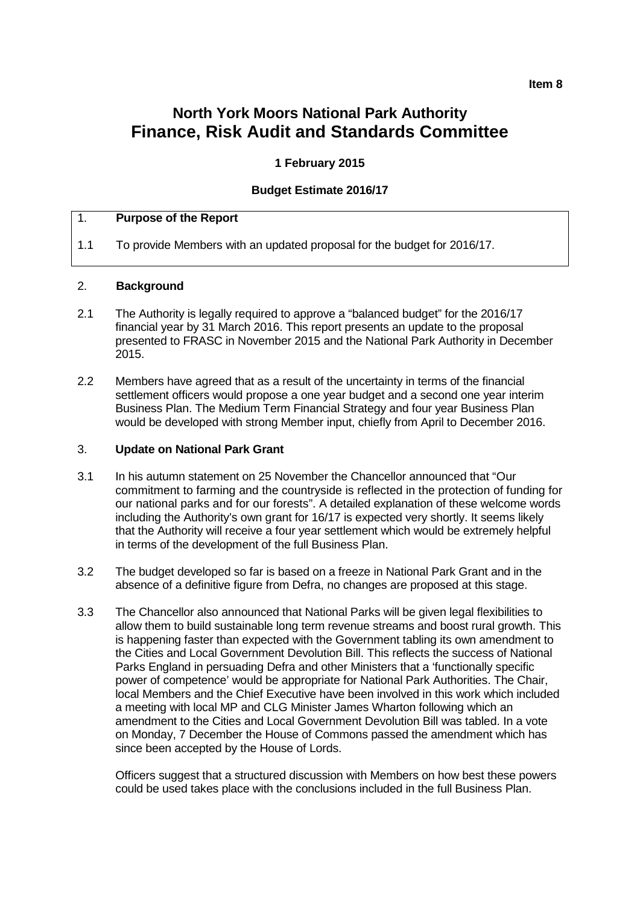#### **Item 8**

# **North York Moors National Park Authority Finance, Risk Audit and Standards Committee**

### **1 February 2015**

#### **Budget Estimate 2016/17**

## 1. **Purpose of the Report**

1.1 To provide Members with an updated proposal for the budget for 2016/17.

#### 2. **Background**

- 2.1 The Authority is legally required to approve a "balanced budget" for the 2016/17 financial year by 31 March 2016. This report presents an update to the proposal presented to FRASC in November 2015 and the National Park Authority in December 2015.
- 2.2 Members have agreed that as a result of the uncertainty in terms of the financial settlement officers would propose a one year budget and a second one year interim Business Plan. The Medium Term Financial Strategy and four year Business Plan would be developed with strong Member input, chiefly from April to December 2016.

#### 3. **Update on National Park Grant**

- 3.1 In his autumn statement on 25 November the Chancellor announced that "Our commitment to farming and the countryside is reflected in the protection of funding for our national parks and for our forests". A detailed explanation of these welcome words including the Authority's own grant for 16/17 is expected very shortly. It seems likely that the Authority will receive a four year settlement which would be extremely helpful in terms of the development of the full Business Plan.
- 3.2 The budget developed so far is based on a freeze in National Park Grant and in the absence of a definitive figure from Defra, no changes are proposed at this stage.
- 3.3 The Chancellor also announced that National Parks will be given legal flexibilities to allow them to build sustainable long term revenue streams and boost rural growth. This is happening faster than expected with the Government tabling its own amendment to the Cities and Local Government Devolution Bill. This reflects the success of National Parks England in persuading Defra and other Ministers that a 'functionally specific power of competence' would be appropriate for National Park Authorities. The Chair, local Members and the Chief Executive have been involved in this work which included a meeting with local MP and CLG Minister James Wharton following which an amendment to the Cities and Local Government Devolution Bill was tabled. In a vote on Monday, 7 December the House of Commons passed the amendment which has since been accepted by the House of Lords.

Officers suggest that a structured discussion with Members on how best these powers could be used takes place with the conclusions included in the full Business Plan.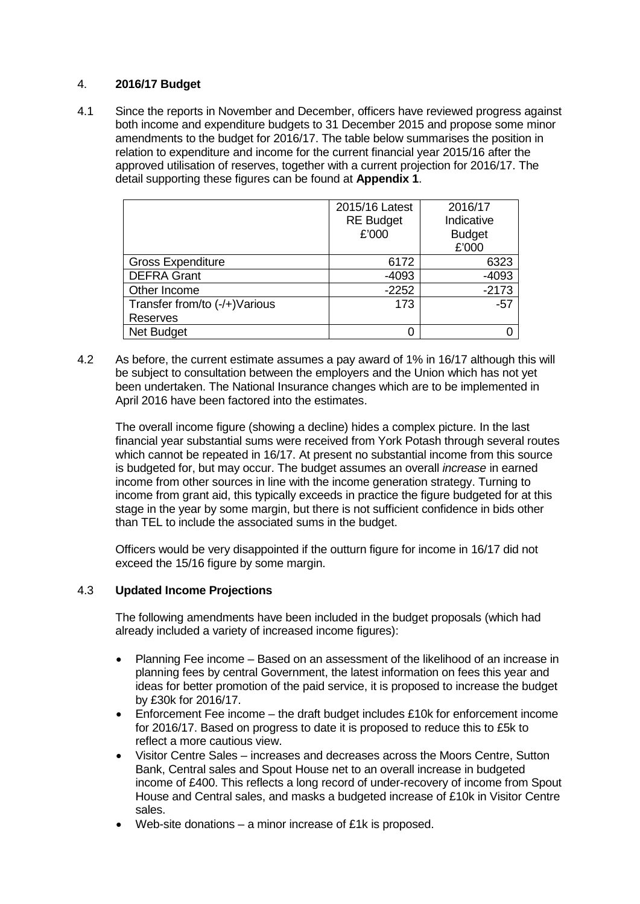## 4. **2016/17 Budget**

4.1 Since the reports in November and December, officers have reviewed progress against both income and expenditure budgets to 31 December 2015 and propose some minor amendments to the budget for 2016/17. The table below summarises the position in relation to expenditure and income for the current financial year 2015/16 after the approved utilisation of reserves, together with a current projection for 2016/17. The detail supporting these figures can be found at **Appendix 1**.

|                               | 2015/16 Latest<br><b>RE Budget</b><br>£'000 | 2016/17<br>Indicative<br><b>Budget</b><br>£'000 |
|-------------------------------|---------------------------------------------|-------------------------------------------------|
| <b>Gross Expenditure</b>      | 6172                                        | 6323                                            |
| <b>DEFRA Grant</b>            | $-4093$                                     | $-4093$                                         |
| Other Income                  | $-2252$                                     | $-2173$                                         |
| Transfer from/to (-/+)Various | 173                                         | $-57$                                           |
| Reserves                      |                                             |                                                 |
| <b>Net Budget</b>             | 0                                           |                                                 |

4.2 As before, the current estimate assumes a pay award of 1% in 16/17 although this will be subject to consultation between the employers and the Union which has not yet been undertaken. The National Insurance changes which are to be implemented in April 2016 have been factored into the estimates.

The overall income figure (showing a decline) hides a complex picture. In the last financial year substantial sums were received from York Potash through several routes which cannot be repeated in 16/17. At present no substantial income from this source is budgeted for, but may occur. The budget assumes an overall *increase* in earned income from other sources in line with the income generation strategy. Turning to income from grant aid, this typically exceeds in practice the figure budgeted for at this stage in the year by some margin, but there is not sufficient confidence in bids other than TEL to include the associated sums in the budget.

Officers would be very disappointed if the outturn figure for income in 16/17 did not exceed the 15/16 figure by some margin.

### 4.3 **Updated Income Projections**

The following amendments have been included in the budget proposals (which had already included a variety of increased income figures):

- Planning Fee income Based on an assessment of the likelihood of an increase in planning fees by central Government, the latest information on fees this year and ideas for better promotion of the paid service, it is proposed to increase the budget by £30k for 2016/17.
- Enforcement Fee income the draft budget includes £10k for enforcement income for 2016/17. Based on progress to date it is proposed to reduce this to £5k to reflect a more cautious view.
- Visitor Centre Sales increases and decreases across the Moors Centre, Sutton Bank, Central sales and Spout House net to an overall increase in budgeted income of £400. This reflects a long record of under-recovery of income from Spout House and Central sales, and masks a budgeted increase of £10k in Visitor Centre sales.
- Web-site donations a minor increase of £1k is proposed.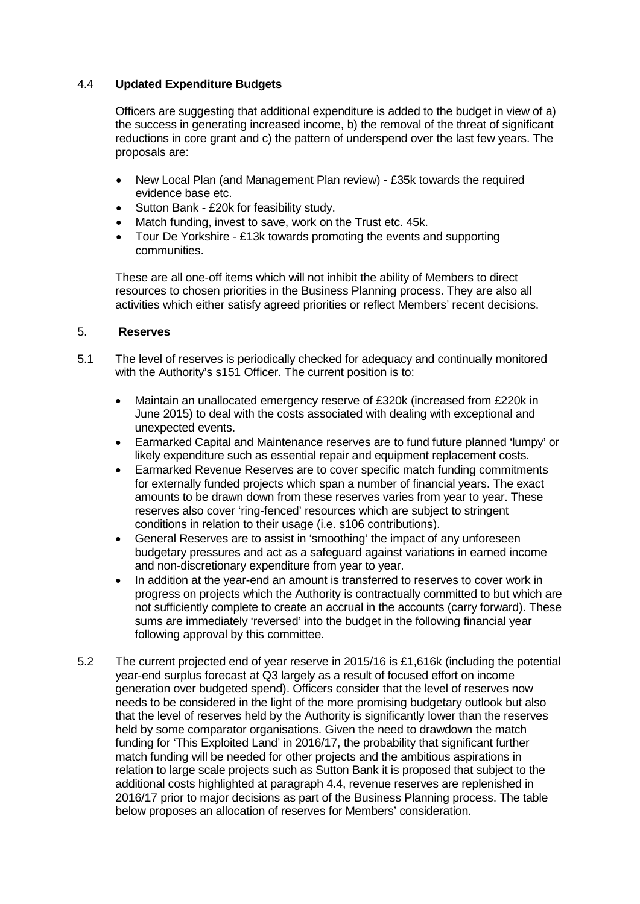## 4.4 **Updated Expenditure Budgets**

Officers are suggesting that additional expenditure is added to the budget in view of a) the success in generating increased income, b) the removal of the threat of significant reductions in core grant and c) the pattern of underspend over the last few years. The proposals are:

- New Local Plan (and Management Plan review) £35k towards the required evidence base etc.
- Sutton Bank £20k for feasibility study.
- Match funding, invest to save, work on the Trust etc. 45k.
- Tour De Yorkshire £13k towards promoting the events and supporting communities.

These are all one-off items which will not inhibit the ability of Members to direct resources to chosen priorities in the Business Planning process. They are also all activities which either satisfy agreed priorities or reflect Members' recent decisions.

#### 5. **Reserves**

- 5.1 The level of reserves is periodically checked for adequacy and continually monitored with the Authority's s151 Officer. The current position is to:
	- Maintain an unallocated emergency reserve of £320k (increased from £220k in June 2015) to deal with the costs associated with dealing with exceptional and unexpected events.
	- Earmarked Capital and Maintenance reserves are to fund future planned 'lumpy' or likely expenditure such as essential repair and equipment replacement costs.
	- Earmarked Revenue Reserves are to cover specific match funding commitments for externally funded projects which span a number of financial years. The exact amounts to be drawn down from these reserves varies from year to year. These reserves also cover 'ring-fenced' resources which are subject to stringent conditions in relation to their usage (i.e. s106 contributions).
	- General Reserves are to assist in 'smoothing' the impact of any unforeseen budgetary pressures and act as a safeguard against variations in earned income and non-discretionary expenditure from year to year.
	- In addition at the year-end an amount is transferred to reserves to cover work in progress on projects which the Authority is contractually committed to but which are not sufficiently complete to create an accrual in the accounts (carry forward). These sums are immediately 'reversed' into the budget in the following financial year following approval by this committee.
- 5.2 The current projected end of year reserve in 2015/16 is £1,616k (including the potential year-end surplus forecast at Q3 largely as a result of focused effort on income generation over budgeted spend). Officers consider that the level of reserves now needs to be considered in the light of the more promising budgetary outlook but also that the level of reserves held by the Authority is significantly lower than the reserves held by some comparator organisations. Given the need to drawdown the match funding for 'This Exploited Land' in 2016/17, the probability that significant further match funding will be needed for other projects and the ambitious aspirations in relation to large scale projects such as Sutton Bank it is proposed that subject to the additional costs highlighted at paragraph 4.4, revenue reserves are replenished in 2016/17 prior to major decisions as part of the Business Planning process. The table below proposes an allocation of reserves for Members' consideration.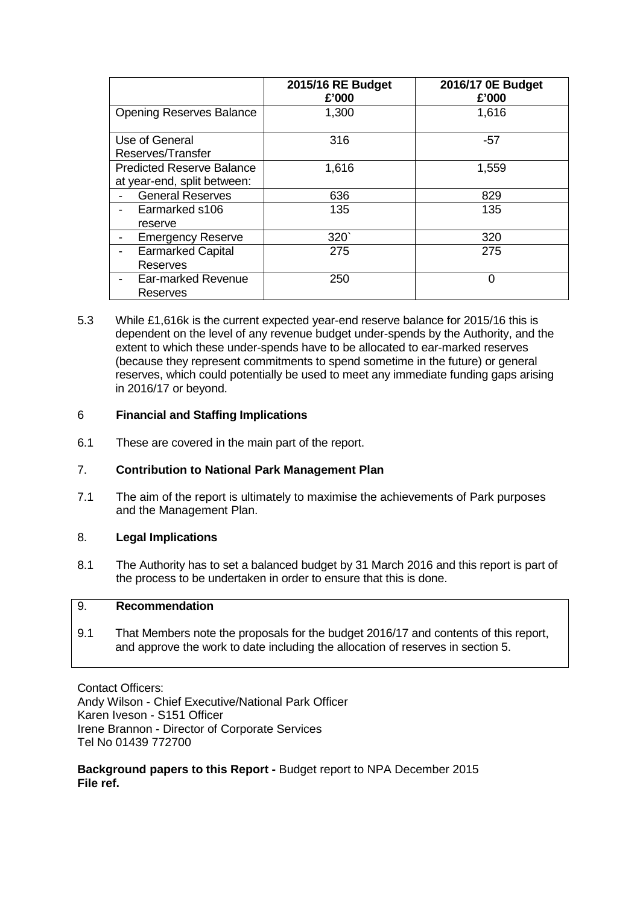|                                  | 2015/16 RE Budget<br>£'000 | 2016/17 0E Budget<br>£'000 |
|----------------------------------|----------------------------|----------------------------|
| <b>Opening Reserves Balance</b>  | 1,300                      | 1,616                      |
| Use of General                   | 316                        | $-57$                      |
| Reserves/Transfer                |                            |                            |
| <b>Predicted Reserve Balance</b> | 1,616                      | 1,559                      |
| at year-end, split between:      |                            |                            |
| <b>General Reserves</b>          | 636                        | 829                        |
| Earmarked s106                   | 135                        | 135                        |
| reserve                          |                            |                            |
| <b>Emergency Reserve</b>         | 320 <sup>°</sup>           | 320                        |
| <b>Earmarked Capital</b>         | 275                        | 275                        |
| <b>Reserves</b>                  |                            |                            |
| Ear-marked Revenue<br>Reserves   | 250                        | 0                          |

5.3 While £1,616k is the current expected year-end reserve balance for 2015/16 this is dependent on the level of any revenue budget under-spends by the Authority, and the extent to which these under-spends have to be allocated to ear-marked reserves (because they represent commitments to spend sometime in the future) or general reserves, which could potentially be used to meet any immediate funding gaps arising in 2016/17 or beyond.

### 6 **Financial and Staffing Implications**

6.1 These are covered in the main part of the report.

# 7. **Contribution to National Park Management Plan**

7.1 The aim of the report is ultimately to maximise the achievements of Park purposes and the Management Plan.

### 8. **Legal Implications**

8.1 The Authority has to set a balanced budget by 31 March 2016 and this report is part of the process to be undertaken in order to ensure that this is done.

# 9. **Recommendation**

9.1 That Members note the proposals for the budget 2016/17 and contents of this report, and approve the work to date including the allocation of reserves in section 5.

Contact Officers: Andy Wilson - Chief Executive/National Park Officer Karen Iveson - S151 Officer Irene Brannon - Director of Corporate Services Tel No 01439 772700

**Background papers to this Report -** Budget report to NPA December 2015 **File ref.**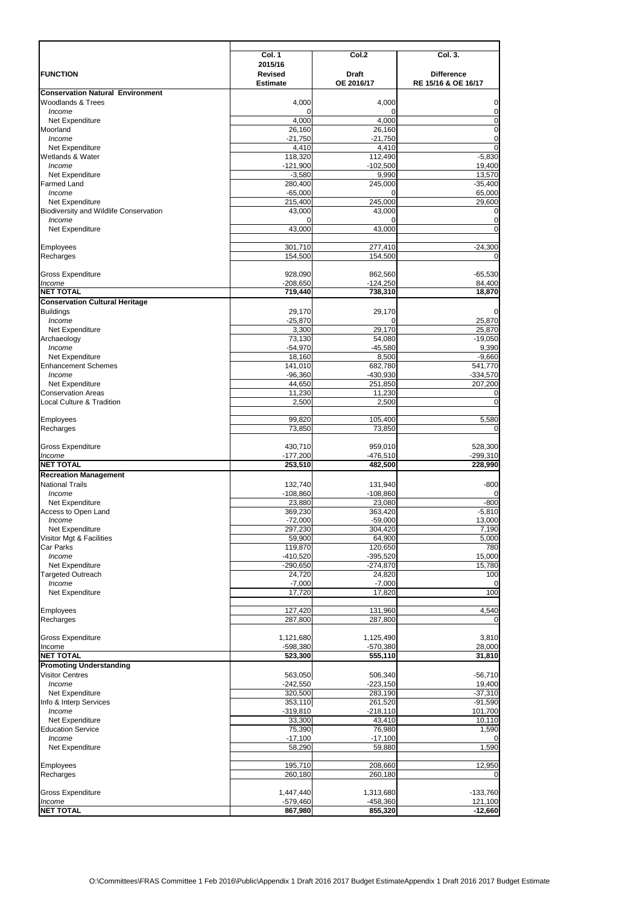O:\Committees\FRAS Committee 1 Feb 2016\Public\Appendix 1 Draft 2016 2017 Budget EstimateAppendix 1 Draft 2016 2017 Budget Estimate

|                                               | Col. 1               | Col.2                | Col. 3.             |
|-----------------------------------------------|----------------------|----------------------|---------------------|
|                                               | 2015/16              |                      |                     |
| <b>FUNCTION</b>                               | <b>Revised</b>       | <b>Draft</b>         | <b>Difference</b>   |
| <b>Conservation Natural Environment</b>       | <b>Estimate</b>      | OE 2016/17           | RE 15/16 & OE 16/17 |
| <b>Woodlands &amp; Trees</b>                  | 4,000                | 4,000                | $\pmb{0}$           |
| Income                                        |                      |                      | $\pmb{0}$           |
| Net Expenditure                               | 4,000                | 4,000                | $\overline{0}$      |
| Moorland                                      | 26,160               | 26,160               | $\overline{0}$      |
| Income                                        | $-21,750$            | $-21,750$            | $\pmb{0}$           |
| Net Expenditure                               | 4,410                | 4,410                | $\overline{0}$      |
| Wetlands & Water                              | 118,320              | 112,490              | $-5,830$            |
| Income                                        | $-121,900$           | $-102,500$           | 19,400              |
| Net Expenditure                               | $-3,580$             | 9,990                | 13,570              |
| <b>Farmed Land</b>                            | 280,400              | 245,000              | $-35,400$           |
| Income                                        | $-65,000$            |                      | 65,000              |
| Net Expenditure                               | 215,400              | 245,000              | 29,600              |
| <b>Biodiversity and Wildlife Conservation</b> | 43,000               | 43,000               | $\boldsymbol{0}$    |
| Income                                        | 0                    |                      | $\pmb{0}$           |
| Net Expenditure                               | 43,000               | 43,000               | $\mathbf 0$         |
|                                               |                      |                      |                     |
| Employees                                     | 301,710              | 277,410              | $-24,300$           |
| Recharges                                     | 154,500              | 154,500              | $\mathbf 0$         |
|                                               |                      |                      |                     |
| <b>Gross Expenditure</b>                      | 928,090              | 862,560              | $-65,530$           |
| Income                                        | $-208,650$           | $-124,250$           | 84,400              |
| <b>NET TOTAL</b>                              | 719,440              | 738,310              | 18,870              |
| <b>Conservation Cultural Heritage</b>         |                      |                      |                     |
| <b>Buildings</b>                              | 29,170               | 29,170               | $\pmb{0}$           |
| Income                                        | $-25,870$            | 0                    | 25,870              |
| Net Expenditure                               | 3,300                | 29,170               | 25,870              |
| Archaeology                                   | 73,130               | 54,080               | $-19,050$           |
| Income                                        | $-54,970$            | $-45,580$            | 9,390               |
| Net Expenditure                               | 18,160               | 8,500                | $-9,660$            |
| <b>Enhancement Schemes</b>                    | 141,010              | 682,780              | 541,770             |
| Income                                        | $-96,360$            | $-430,930$           | $-334,570$          |
| Net Expenditure                               | 44,650               | 251,850              | 207,200             |
| <b>Conservation Areas</b>                     | 11,230               | 11,230               | $\pmb{0}$           |
| <b>Local Culture &amp; Tradition</b>          | 2,500                | 2,500                | $\mathbf 0$         |
|                                               |                      |                      |                     |
| Employees                                     | 99,820               | 105,400              | 5,580               |
| Recharges                                     | 73,850               | 73,850               | $\mathbf 0$         |
|                                               |                      |                      |                     |
| <b>Gross Expenditure</b>                      | 430,710              | 959,010              | 528,300             |
| Income                                        | $-177,200$           | $-476,510$           | $-299,310$          |
| <b>NET TOTAL</b>                              | 253,510              | 482,500              | 228,990             |
| <b>Recreation Management</b>                  |                      |                      |                     |
| <b>National Trails</b>                        | 132,740              | 131,940              | $-800$              |
| Income                                        | $-108,860$           | $-108,860$           | $\pmb{0}$           |
| Net Expenditure                               | 23,880               | 23,080               | $-800$              |
| Access to Open Land                           | 369,230              | 363,420              | $-5,810$            |
| Income                                        | $-72,000$            | $-59,000$            | 13,000              |
| Net Expenditure                               | 297,230              | 304,420              | 7,190               |
| Visitor Mgt & Facilities                      | 59,900               | 64,900               | 5,000               |
| <b>Car Parks</b>                              | 119,870              | 120,650              | 780                 |
| Income                                        | $-410,520$           | $-395,520$           | 15,000              |
| Net Expenditure<br><b>Targeted Outreach</b>   | $-290,650$<br>24,720 | $-274,870$<br>24,820 | 15,780<br>100       |
|                                               |                      |                      |                     |
| Income<br>Net Expenditure                     | $-7,000$<br>17,720   | $-7,000$<br>17,820   | $\mathbf 0$<br>100  |
|                                               |                      |                      |                     |
| Employees                                     | 127,420              | 131,960              | 4,540               |
| Recharges                                     | 287,800              | 287,800              | $\mathbf 0$         |
|                                               |                      |                      |                     |
| <b>Gross Expenditure</b>                      | 1,121,680            | 1,125,490            | 3,810               |
| Income                                        | -598,380             | $-570,380$           | 28,000              |
| <b>NET TOTAL</b>                              | 523,300              | 555,110              | 31,810              |
| <b>Promoting Understanding</b>                |                      |                      |                     |
| <b>Visitor Centres</b>                        | 563,050              | 506,340              | $-56,710$           |
| Income                                        | $-242,550$           | $-223,150$           | 19,400              |
| Net Expenditure                               | 320,500              | 283,190              | $-37,310$           |
| Info & Interp Services                        | 353,110              | 261,520              | $-91,590$           |
| Income                                        | $-319,810$           | $-218,110$           | 101,700             |
| Net Expenditure                               | 33,300               | 43.410               | 10,110              |
| <b>Education Service</b>                      | 75,390               | 76,980               | 1,590               |
| Income                                        | $-17,100$            | $-17,100$            | $\boldsymbol{0}$    |
| Net Expenditure                               | 58,290               | 59,880               | 1,590               |
|                                               |                      |                      |                     |
| Employees                                     | 195,710              | 208,660              | 12,950              |
| Recharges                                     | 260,180              | 260,180              | $\overline{0}$      |
|                                               |                      |                      |                     |
| <b>Gross Expenditure</b>                      | 1,447,440            | 1,313,680            | $-133,760$          |
| Income                                        | $-579,460$           | $-458,360$           | 121,100             |
| <b>NET TOTAL</b>                              | 867,980              | 855,320              | $-12,660$           |